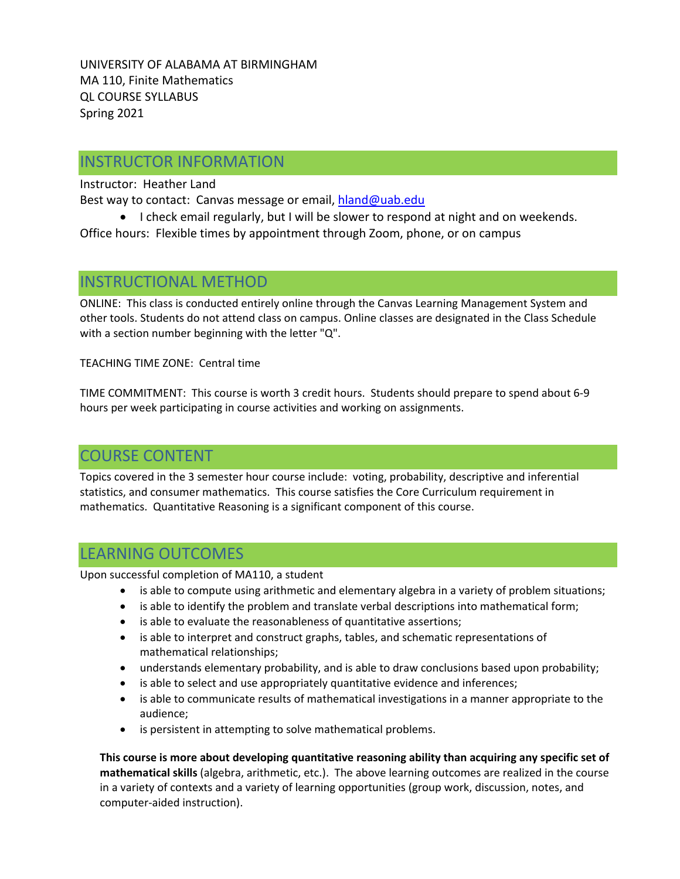UNIVERSITY OF ALABAMA AT BIRMINGHAM MA 110, Finite Mathematics QL COURSE SYLLABUS Spring 2021

# INSTRUCTOR INFORMATION

Instructor: Heather Land

Best way to contact: Canvas message or email, [hland@uab.edu](mailto:hland@uab.edu)

• I check email regularly, but I will be slower to respond at night and on weekends. Office hours: Flexible times by appointment through Zoom, phone, or on campus

# INSTRUCTIONAL METHOD

ONLINE: This class is conducted entirely online through the Canvas Learning Management System and other tools. Students do not attend class on campus. Online classes are designated in the Class Schedule with a section number beginning with the letter "Q".

TEACHING TIME ZONE: Central time

TIME COMMITMENT: This course is worth 3 credit hours. Students should prepare to spend about 6-9 hours per week participating in course activities and working on assignments.

# COURSE CONTENT

Topics covered in the 3 semester hour course include: voting, probability, descriptive and inferential statistics, and consumer mathematics. This course satisfies the Core Curriculum requirement in mathematics. Quantitative Reasoning is a significant component of this course.

# LEARNING OUTCOMES

Upon successful completion of MA110, a student

- is able to compute using arithmetic and elementary algebra in a variety of problem situations;
- is able to identify the problem and translate verbal descriptions into mathematical form;
- is able to evaluate the reasonableness of quantitative assertions;
- is able to interpret and construct graphs, tables, and schematic representations of mathematical relationships;
- understands elementary probability, and is able to draw conclusions based upon probability;
- is able to select and use appropriately quantitative evidence and inferences;
- is able to communicate results of mathematical investigations in a manner appropriate to the audience;
- is persistent in attempting to solve mathematical problems.

**This course is more about developing quantitative reasoning ability than acquiring any specific set of mathematical skills** (algebra, arithmetic, etc.). The above learning outcomes are realized in the course in a variety of contexts and a variety of learning opportunities (group work, discussion, notes, and computer-aided instruction).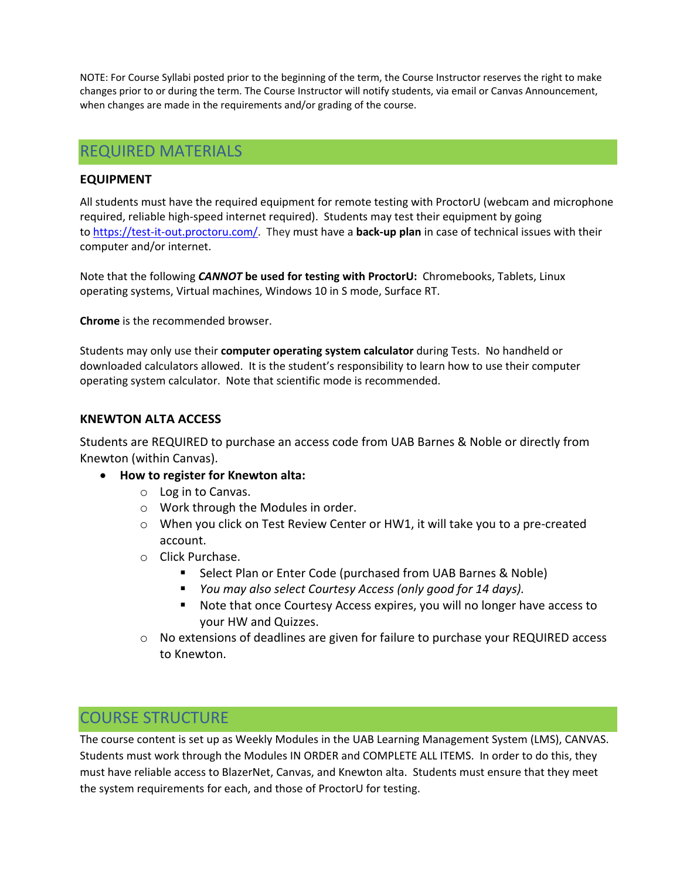NOTE: For Course Syllabi posted prior to the beginning of the term, the Course Instructor reserves the right to make changes prior to or during the term. The Course Instructor will notify students, via email or Canvas Announcement, when changes are made in the requirements and/or grading of the course.

# REQUIRED MATERIALS

## **EQUIPMENT**

All students must have the required equipment for remote testing with ProctorU (webcam and microphone required, reliable high-speed internet required). Students may test their equipment by going to [https://test-it-out.proctoru.com/.](https://test-it-out.proctoru.com/) They must have a **back-up plan** in case of technical issues with their computer and/or internet.

Note that the following *CANNOT* **be used for testing with ProctorU:** Chromebooks, Tablets, Linux operating systems, Virtual machines, Windows 10 in S mode, Surface RT.

**Chrome** is the recommended browser.

Students may only use their **computer operating system calculator** during Tests. No handheld or downloaded calculators allowed. It is the student's responsibility to learn how to use their computer operating system calculator. Note that scientific mode is recommended.

### **KNEWTON ALTA ACCESS**

Students are REQUIRED to purchase an access code from UAB Barnes & Noble or directly from Knewton (within Canvas).

- **How to register for Knewton alta:**
	- o Log in to Canvas.
	- o Work through the Modules in order.
	- $\circ$  When you click on Test Review Center or HW1, it will take you to a pre-created account.
	- o Click Purchase.
		- Select Plan or Enter Code (purchased from UAB Barnes & Noble)
		- *You may also select Courtesy Access (only good for 14 days).*
		- Note that once Courtesy Access expires, you will no longer have access to your HW and Quizzes.
	- o No extensions of deadlines are given for failure to purchase your REQUIRED access to Knewton.

# COURSE STRUCTURE

The course content is set up as Weekly Modules in the UAB Learning Management System (LMS), CANVAS. Students must work through the Modules IN ORDER and COMPLETE ALL ITEMS. In order to do this, they must have reliable access to BlazerNet, Canvas, and Knewton alta. Students must ensure that they meet the system requirements for each, and those of ProctorU for testing.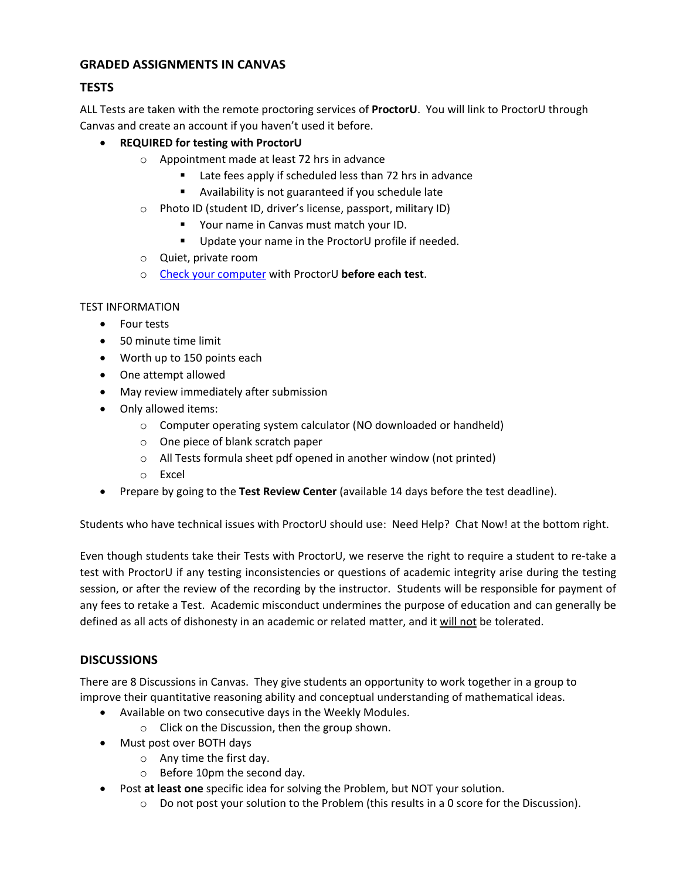## **GRADED ASSIGNMENTS IN CANVAS**

## **TESTS**

ALL Tests are taken with the remote proctoring services of **ProctorU**. You will link to ProctorU through Canvas and create an account if you haven't used it before.

## • **REQUIRED for testing with ProctorU**

- o Appointment made at least 72 hrs in advance
	- Late fees apply if scheduled less than 72 hrs in advance
	- Availability is not guaranteed if you schedule late
- o Photo ID (student ID, driver's license, passport, military ID)
	- **P** Your name in Canvas must match your ID.
	- **Update your name in the ProctorU profile if needed.**
- o Quiet, private room
- o [Check your computer](https://proctoru.com/testitout) with ProctorU **before each test**.

### TEST INFORMATION

- Four tests
- 50 minute time limit
- Worth up to 150 points each
- One attempt allowed
- May review immediately after submission
- Only allowed items:
	- o Computer operating system calculator (NO downloaded or handheld)
	- o One piece of blank scratch paper
	- o All Tests formula sheet pdf opened in another window (not printed)
	- o Excel
- Prepare by going to the **Test Review Center** (available 14 days before the test deadline).

Students who have technical issues with ProctorU should use: Need Help? Chat Now! at the bottom right.

Even though students take their Tests with ProctorU, we reserve the right to require a student to re-take a test with ProctorU if any testing inconsistencies or questions of academic integrity arise during the testing session, or after the review of the recording by the instructor. Students will be responsible for payment of any fees to retake a Test. Academic misconduct undermines the purpose of education and can generally be defined as all acts of dishonesty in an academic or related matter, and it will not be tolerated.

# **DISCUSSIONS**

There are 8 Discussions in Canvas. They give students an opportunity to work together in a group to improve their quantitative reasoning ability and conceptual understanding of mathematical ideas.

- Available on two consecutive days in the Weekly Modules.
	- o Click on the Discussion, then the group shown.
- Must post over BOTH days
	- o Any time the first day.
	- o Before 10pm the second day.
- Post **at least one** specific idea for solving the Problem, but NOT your solution.
	- $\circ$  Do not post your solution to the Problem (this results in a 0 score for the Discussion).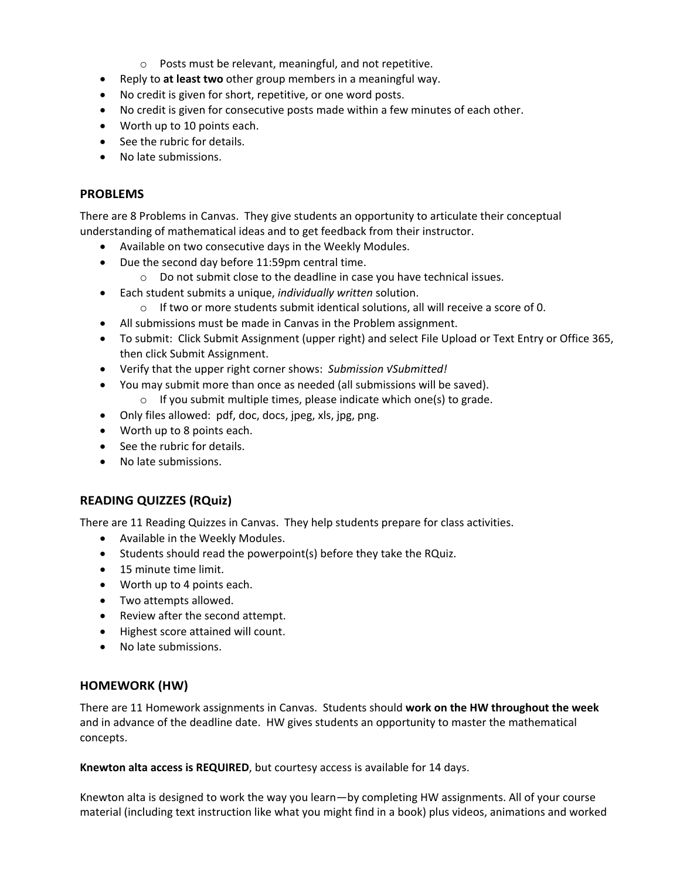- o Posts must be relevant, meaningful, and not repetitive.
- Reply to **at least two** other group members in a meaningful way.
- No credit is given for short, repetitive, or one word posts.
- No credit is given for consecutive posts made within a few minutes of each other.
- Worth up to 10 points each.
- See the rubric for details.
- No late submissions.

#### **PROBLEMS**

There are 8 Problems in Canvas. They give students an opportunity to articulate their conceptual understanding of mathematical ideas and to get feedback from their instructor.

- Available on two consecutive days in the Weekly Modules.
- Due the second day before 11:59pm central time.
	- $\circ$  Do not submit close to the deadline in case you have technical issues.
- Each student submits a unique, *individually written* solution.
	- $\circ$  If two or more students submit identical solutions, all will receive a score of 0.
- All submissions must be made in Canvas in the Problem assignment.
- To submit: Click Submit Assignment (upper right) and select File Upload or Text Entry or Office 365, then click Submit Assignment.
- Verify that the upper right corner shows: *Submission √Submitted!*
- You may submit more than once as needed (all submissions will be saved). o If you submit multiple times, please indicate which one(s) to grade.
- 
- Only files allowed: pdf, doc, docs, jpeg, xls, jpg, png.
- Worth up to 8 points each.
- See the rubric for details.
- No late submissions.

## **READING QUIZZES (RQuiz)**

There are 11 Reading Quizzes in Canvas.They help students prepare for class activities.

- Available in the Weekly Modules.
- Students should read the powerpoint(s) before they take the RQuiz.
- 15 minute time limit.
- Worth up to 4 points each.
- Two attempts allowed.
- Review after the second attempt.
- Highest score attained will count.
- No late submissions.

#### **HOMEWORK (HW)**

There are 11 Homework assignments in Canvas. Students should **work on the HW throughout the week** and in advance of the deadline date. HW gives students an opportunity to master the mathematical concepts.

**Knewton alta access is REQUIRED**, but courtesy access is available for 14 days.

Knewton alta is designed to work the way you learn—by completing HW assignments. All of your course material (including text instruction like what you might find in a book) plus videos, animations and worked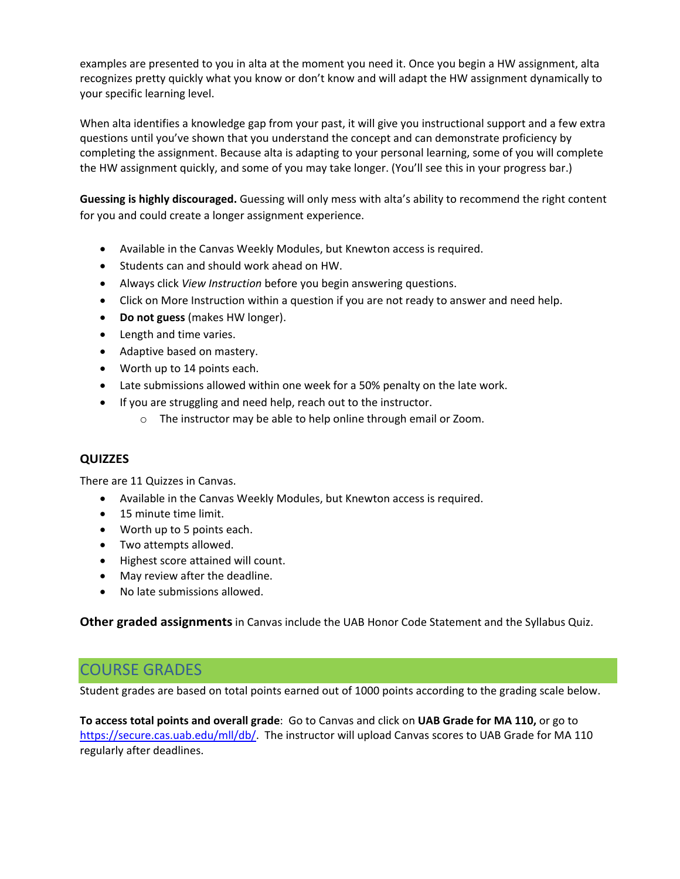examples are presented to you in alta at the moment you need it. Once you begin a HW assignment, alta recognizes pretty quickly what you know or don't know and will adapt the HW assignment dynamically to your specific learning level.

When alta identifies a knowledge gap from your past, it will give you instructional support and a few extra questions until you've shown that you understand the concept and can demonstrate proficiency by completing the assignment. Because alta is adapting to your personal learning, some of you will complete the HW assignment quickly, and some of you may take longer. (You'll see this in your progress bar.)

**Guessing is highly discouraged.** Guessing will only mess with alta's ability to recommend the right content for you and could create a longer assignment experience.

- Available in the Canvas Weekly Modules, but Knewton access is required.
- Students can and should work ahead on HW.
- Always click *View Instruction* before you begin answering questions.
- Click on More Instruction within a question if you are not ready to answer and need help.
- **Do not guess** (makes HW longer).
- Length and time varies.
- Adaptive based on mastery.
- Worth up to 14 points each.
- Late submissions allowed within one week for a 50% penalty on the late work.
- If you are struggling and need help, reach out to the instructor.
	- o The instructor may be able to help online through email or Zoom.

## **QUIZZES**

There are 11 Quizzes in Canvas.

- Available in the Canvas Weekly Modules, but Knewton access is required.
- 15 minute time limit.
- Worth up to 5 points each.
- Two attempts allowed.
- Highest score attained will count.
- May review after the deadline.
- No late submissions allowed.

**Other graded assignments** in Canvas include the UAB Honor Code Statement and the Syllabus Quiz.

# COURSE GRADES

Student grades are based on total points earned out of 1000 points according to the grading scale below.

**To access total points and overall grade**: Go to Canvas and click on **UAB Grade for MA 110,** or go to [https://secure.cas.uab.edu/mll/db/.](https://secure.cas.uab.edu/mll/db/) The instructor will upload Canvas scores to UAB Grade for MA 110 regularly after deadlines.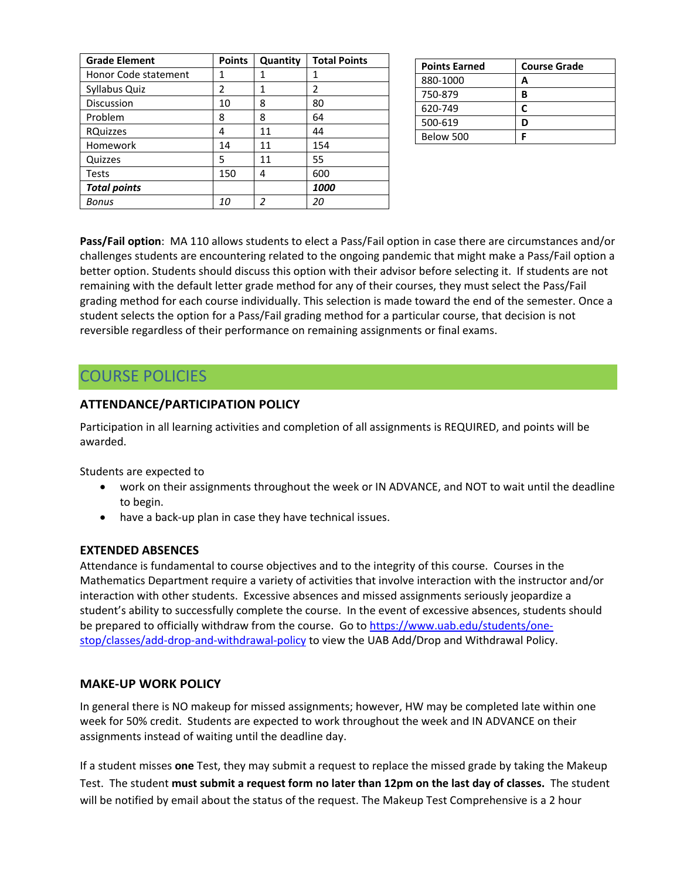| <b>Grade Element</b> | <b>Points</b> | Quantity | <b>Total Points</b> |
|----------------------|---------------|----------|---------------------|
| Honor Code statement | 1             | 1        | 1                   |
| Syllabus Quiz        | $\mathfrak z$ | 1        | 2                   |
| <b>Discussion</b>    | 10            | 8        | 80                  |
| Problem              | 8             | 8        | 64                  |
| <b>RQuizzes</b>      | 4             | 11       | 44                  |
| Homework             | 14            | 11       | 154                 |
| Quizzes              | 5             | 11       | 55                  |
| <b>Tests</b>         | 150           | 4        | 600                 |
| <b>Total points</b>  |               |          | 1000                |
| Bonus                | 10            | 2        | 20                  |

| <b>Points Earned</b> | <b>Course Grade</b> |
|----------------------|---------------------|
| 880-1000             |                     |
| 750-879              | в                   |
| 620-749              |                     |
| 500-619              |                     |
| Below 500            |                     |

**Pass/Fail option**: MA 110 allows students to elect a Pass/Fail option in case there are circumstances and/or challenges students are encountering related to the ongoing pandemic that might make a Pass/Fail option a better option. Students should discuss this option with their advisor before selecting it. If students are not remaining with the default letter grade method for any of their courses, they must select the Pass/Fail grading method for each course individually. This selection is made toward the end of the semester. Once a student selects the option for a Pass/Fail grading method for a particular course, that decision is not reversible regardless of their performance on remaining assignments or final exams.

# COURSE POLICIES

## **ATTENDANCE/PARTICIPATION POLICY**

Participation in all learning activities and completion of all assignments is REQUIRED, and points will be awarded.

Students are expected to

- work on their assignments throughout the week or IN ADVANCE, and NOT to wait until the deadline to begin.
- have a back-up plan in case they have technical issues.

## **EXTENDED ABSENCES**

Attendance is fundamental to course objectives and to the integrity of this course. Courses in the Mathematics Department require a variety of activities that involve interaction with the instructor and/or interaction with other students. Excessive absences and missed assignments seriously jeopardize a student's ability to successfully complete the course. In the event of excessive absences, students should be prepared to officially withdraw from the course. Go to [https://www.uab.edu/students/one](https://www.uab.edu/students/one-stop/classes/add-drop-and-withdrawal-policy)[stop/classes/add-drop-and-withdrawal-policy](https://www.uab.edu/students/one-stop/classes/add-drop-and-withdrawal-policy) to view the UAB Add/Drop and Withdrawal Policy.

## **MAKE-UP WORK POLICY**

In general there is NO makeup for missed assignments; however, HW may be completed late within one week for 50% credit. Students are expected to work throughout the week and IN ADVANCE on their assignments instead of waiting until the deadline day.

If a student misses **one** Test, they may submit a request to replace the missed grade by taking the Makeup Test. The student **must submit a request form no later than 12pm on the last day of classes.** The student will be notified by email about the status of the request. The Makeup Test Comprehensive is a 2 hour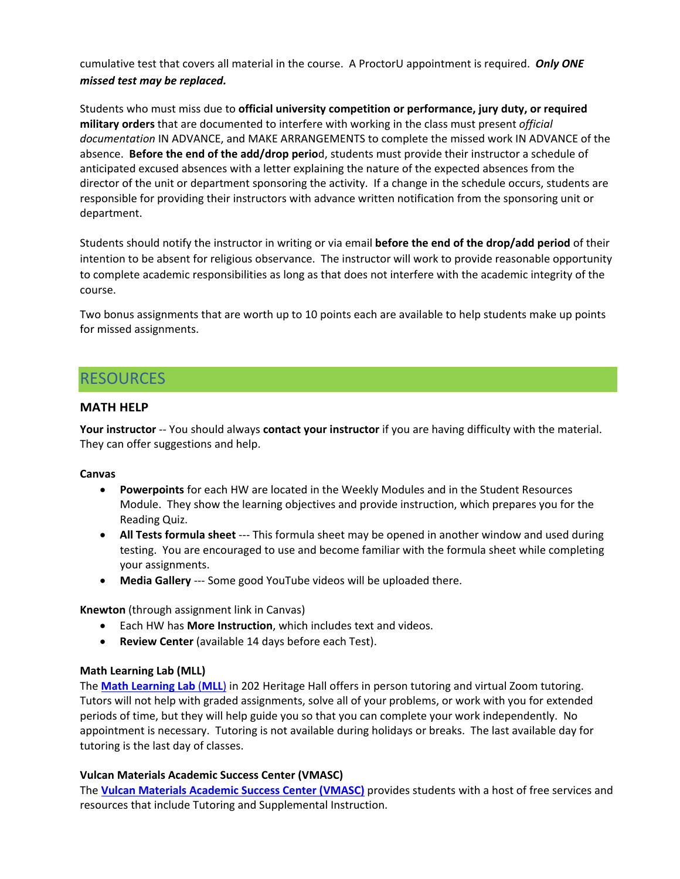cumulative test that covers all material in the course. A ProctorU appointment is required. *Only ONE missed test may be replaced.*

Students who must miss due to **official university competition or performance, jury duty, or required military orders** that are documented to interfere with working in the class must present *official documentation* IN ADVANCE, and MAKE ARRANGEMENTS to complete the missed work IN ADVANCE of the absence. **Before the end of the add/drop perio**d, students must provide their instructor a schedule of anticipated excused absences with a letter explaining the nature of the expected absences from the director of the unit or department sponsoring the activity. If a change in the schedule occurs, students are responsible for providing their instructors with advance written notification from the sponsoring unit or department.

Students should notify the instructor in writing or via email **before the end of the drop/add period** of their intention to be absent for religious observance. The instructor will work to provide reasonable opportunity to complete academic responsibilities as long as that does not interfere with the academic integrity of the course.

Two bonus assignments that are worth up to 10 points each are available to help students make up points for missed assignments.

# RESOURCES

### **MATH HELP**

**Your instructor** -- You should always **contact your instructor** if you are having difficulty with the material. They can offer suggestions and help.

#### **Canvas**

- **Powerpoints** for each HW are located in the Weekly Modules and in the Student Resources Module. They show the learning objectives and provide instruction, which prepares you for the Reading Quiz.
- **All Tests formula sheet** --- This formula sheet may be opened in another window and used during testing. You are encouraged to use and become familiar with the formula sheet while completing your assignments.
- **Media Gallery** --- Some good YouTube videos will be uploaded there.

**Knewton** (through assignment link in Canvas)

- Each HW has **More Instruction**, which includes text and videos.
- **Review Center** (available 14 days before each Test).

#### **Math Learning Lab (MLL)**

The **[Math Learning Lab](https://www.uab.edu/cas/mathematics/student-resources/math-learning-lab)** (**MLL**) in 202 Heritage Hall offers in person tutoring and virtual Zoom tutoring. Tutors will not help with graded assignments, solve all of your problems, or work with you for extended periods of time, but they will help guide you so that you can complete your work independently. No appointment is necessary. Tutoring is not available during holidays or breaks. The last available day for tutoring is the last day of classes.

#### **Vulcan Materials Academic Success Center (VMASC)**

The **Vulcan Materials [Academic Success Center \(VMASC\)](https://www.uab.edu/students/academics/student-success)** provides students with a host of free services and resources that include Tutoring and Supplemental Instruction.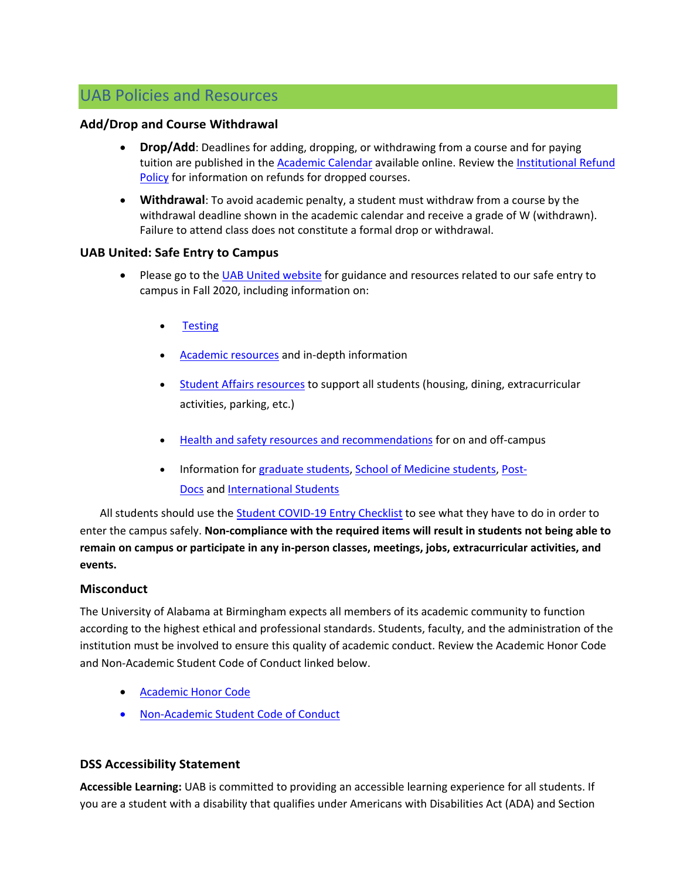# UAB Policies and Resources

### **Add/Drop and Course Withdrawal**

- **Drop/Add**: Deadlines for adding, dropping, or withdrawing from a course and for paying tuition are published in the **Academic Calendar** available online. Review the **Institutional Refund** [Policy](https://www.uab.edu/students/one-stop/policies/institutional-refund-policy) for information on refunds for dropped courses.
- **Withdrawal**: To avoid academic penalty, a student must withdraw from a course by the withdrawal deadline shown in the academic calendar and receive a grade of W (withdrawn). Failure to attend class does not constitute a formal drop or withdrawal.

### **UAB United: Safe Entry to Campus**

- Please go to the [UAB United website](https://www.uab.edu/uabunited/students) for guidance and resources related to our safe entry to campus in Fall 2020, including information on:
	- [Testing](https://www.uab.edu/uabunited/students/testing)
	- [Academic resources](https://www.uab.edu/uabunited/students/academics) and in-depth information
	- [Student Affairs resources](https://www.uab.edu/uabunited/students/student-affairs) to support all students (housing, dining, extracurricular activities, parking, etc.)
	- [Health and safety resources and recommendations](https://www.uab.edu/uabunited/students/health-safety) for on and off-campus
	- Information for [graduate students,](https://www.uab.edu/graduate/about/graduate-school-covid-19-updates) [School of Medicine students,](https://www.uab.edu/medicine/home/covid-19-updates) [Post-](https://www.uab.edu/postdocs/covid-19)[Docs](https://www.uab.edu/postdocs/covid-19) and [International Students](https://www.uab.edu/global/about/programs-services/isss/faqs-concerning-recent-sevp-guidance-and-covid-19-planning)

All students should use the [Student COVID-19 Entry Checklist](https://www.uab.edu/uabunited/entry-checklists#student-checklist) to see what they have to do in order to enter the campus safely. **Non-compliance with the required items will result in students not being able to remain on campus or participate in any in-person classes, meetings, jobs, extracurricular activities, and events.**

## **Misconduct**

The University of Alabama at Birmingham expects all members of its academic community to function according to the highest ethical and professional standards. Students, faculty, and the administration of the institution must be involved to ensure this quality of academic conduct. Review the Academic Honor Code and Non-Academic Student Code of Conduct linked below.

- [Academic Honor Code](http://www.uab.edu/students/one-stop/policies/academic-honor-code)
- [Non-Academic Student Code of Conduct](http://www.uab.edu/studentconduct)

## **DSS Accessibility Statement**

**Accessible Learning:** UAB is committed to providing an accessible learning experience for all students. If you are a student with a disability that qualifies under Americans with Disabilities Act (ADA) and Section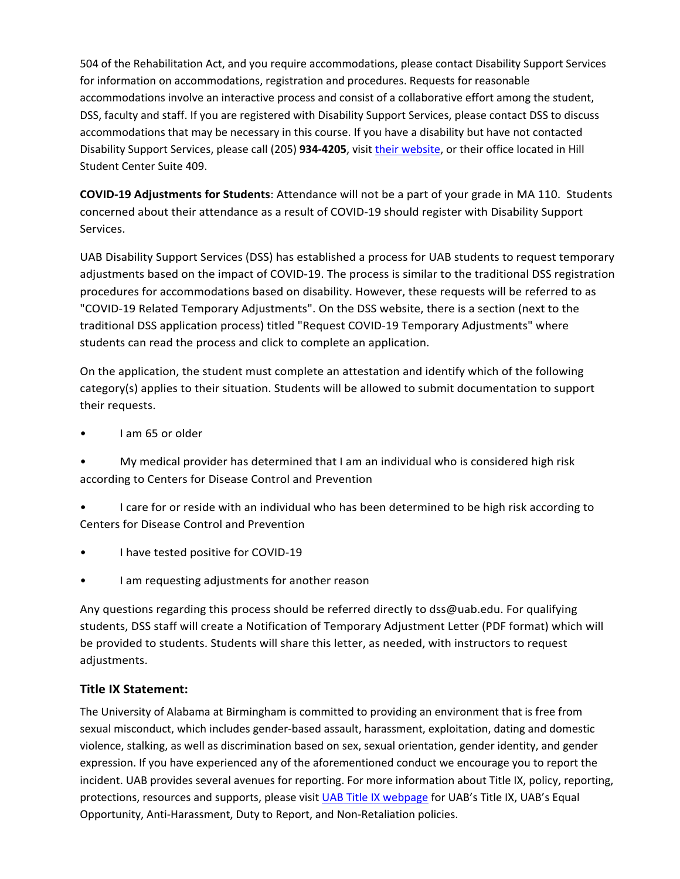504 of the Rehabilitation Act, and you require accommodations, please contact Disability Support Services for information on accommodations, registration and procedures. Requests for reasonable accommodations involve an interactive process and consist of a collaborative effort among the student, DSS, faculty and staff. If you are registered with Disability Support Services, please contact DSS to discuss accommodations that may be necessary in this course. If you have a disability but have not contacted Disability Support Services, please call (205) **934-4205**, visit [their website,](http://www.uab.edu/dss) or their office located in Hill Student Center Suite 409.

**COVID-19 Adjustments for Students**: Attendance will not be a part of your grade in MA 110. Students concerned about their attendance as a result of COVID-19 should register with Disability Support Services.

UAB Disability Support Services (DSS) has established a process for UAB students to request temporary adjustments based on the impact of COVID-19. The process is similar to the traditional DSS registration procedures for accommodations based on disability. However, these requests will be referred to as "COVID-19 Related Temporary Adjustments". On the DSS website, there is a section (next to the traditional DSS application process) titled "Request COVID-19 Temporary Adjustments" where students can read the process and click to complete an application.

On the application, the student must complete an attestation and identify which of the following category(s) applies to their situation. Students will be allowed to submit documentation to support their requests.

- I am 65 or older
- My medical provider has determined that I am an individual who is considered high risk according to Centers for Disease Control and Prevention
- I care for or reside with an individual who has been determined to be high risk according to Centers for Disease Control and Prevention
- I have tested positive for COVID-19
- I am requesting adjustments for another reason

Any questions regarding this process should be referred directly to dss@uab.edu. For qualifying students, DSS staff will create a Notification of Temporary Adjustment Letter (PDF format) which will be provided to students. Students will share this letter, as needed, with instructors to request adjustments.

# **Title IX Statement:**

The University of Alabama at Birmingham is committed to providing an environment that is free from sexual misconduct, which includes gender-based assault, harassment, exploitation, dating and domestic violence, stalking, as well as discrimination based on sex, sexual orientation, gender identity, and gender expression. If you have experienced any of the aforementioned conduct we encourage you to report the incident. UAB provides several avenues for reporting. For more information about Title IX, policy, reporting, protections, resources and supports, please visit [UAB Title IX webpage](http://www.uab.edu/titleix) for UAB's Title IX, UAB's Equal Opportunity, Anti-Harassment, Duty to Report, and Non-Retaliation policies.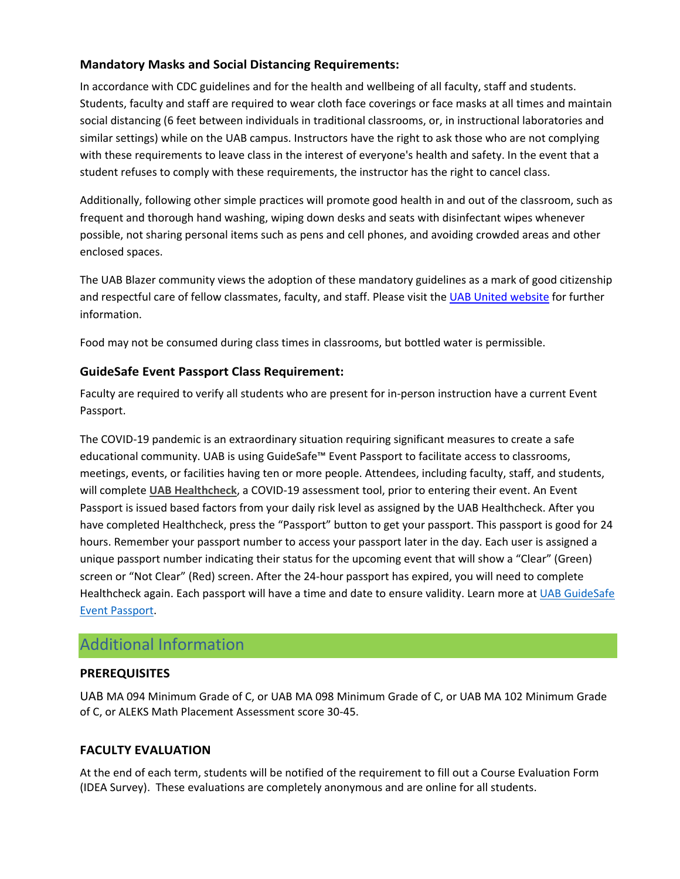# **Mandatory Masks and Social Distancing Requirements:**

In accordance with CDC guidelines and for the health and wellbeing of all faculty, staff and students. Students, faculty and staff are required to wear cloth face coverings or face masks at all times and maintain social distancing (6 feet between individuals in traditional classrooms, or, in instructional laboratories and similar settings) while on the UAB campus. Instructors have the right to ask those who are not complying with these requirements to leave class in the interest of everyone's health and safety. In the event that a student refuses to comply with these requirements, the instructor has the right to cancel class.

Additionally, following other simple practices will promote good health in and out of the classroom, such as frequent and thorough hand washing, wiping down desks and seats with disinfectant wipes whenever possible, not sharing personal items such as pens and cell phones, and avoiding crowded areas and other enclosed spaces.

The UAB Blazer community views the adoption of these mandatory guidelines as a mark of good citizenship and respectful care of fellow classmates, faculty, and staff. Please visit the [UAB United website](https://www.uab.edu/uabunited/students) for further information.

Food may not be consumed during class times in classrooms, but bottled water is permissible.

## **GuideSafe Event Passport Class Requirement:**

Faculty are required to verify all students who are present for in-person instruction have a current Event Passport.

The COVID-19 pandemic is an extraordinary situation requiring significant measures to create a safe educational community. UAB is using GuideSafe™ Event Passport to facilitate access to classrooms, meetings, events, or facilities having ten or more people. Attendees, including faculty, staff, and students, will complete **[UAB Healthcheck](https://www.uab.edu/uabunited/uab-healthcheck)**, a COVID-19 assessment tool, prior to entering their event. An Event Passport is issued based factors from your daily risk level as assigned by the UAB Healthcheck. After you have completed Healthcheck, press the "Passport" button to get your passport. This passport is good for 24 hours. Remember your passport number to access your passport later in the day. Each user is assigned a unique passport number indicating their status for the upcoming event that will show a "Clear" (Green) screen or "Not Clear" (Red) screen. After the 24-hour passport has expired, you will need to complete Healthcheck again. Each passport will have a time and date to ensure validity. Learn more at [UAB GuideSafe](https://www.uab.edu/uabunited/guidesafe-event-passport)  [Event Passport.](https://www.uab.edu/uabunited/guidesafe-event-passport)

# Additional Information

## **PREREQUISITES**

UAB MA 094 Minimum Grade of C, or UAB MA 098 Minimum Grade of C, or UAB MA 102 Minimum Grade of C, or ALEKS Math Placement Assessment score 30-45.

# **FACULTY EVALUATION**

At the end of each term, students will be notified of the requirement to fill out a Course Evaluation Form (IDEA Survey). These evaluations are completely anonymous and are online for all students.